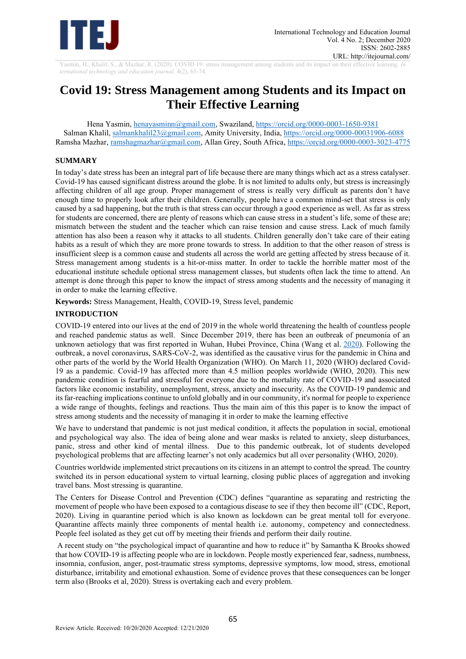

Yasmin, H., Khalil, S., & Mazhar, R. (2020). COVID 19: stress management among students and its impact on their effective learning. *In ternational technology and education journal,* 4(2), 65-74.

# **Covid 19: Stress Management among Students and its Impact on Their Effective Learning**

Hena Yasmin, [henayasminn@gmail.com,](mailto:henayasminn@gmail.com) Swaziland,<https://orcid.org/0000-0003-1650-9381> Salman Khalil, [salmankhalil23@gmail.com,](mailto:salmankhalil23@gmail.com) Amity University, India, https://orcid.org/0000-00031906-6088 Ramsha Mazhar, [ramshagmazhar@gmail.com,](mailto:ramshagmazhar@gmail.com) Allan Grey, South Africa,<https://orcid.org/0000-0003-3023-4775>

## **SUMMARY**

In today's date stress has been an integral part of life because there are many things which act as a stress catalyser. Covid-19 has caused significant distress around the globe. It is not limited to adults only, but stress is increasingly affecting children of all age group. Proper management of stress is really very difficult as parents don't have enough time to properly look after their children. Generally, people have a common mind-set that stress is only caused by a sad happening, but the truth is that stress can occur through a good experience as well. As far as stress for students are concerned, there are plenty of reasons which can cause stress in a student's life, some of these are; mismatch between the student and the teacher which can raise tension and cause stress. Lack of much family attention has also been a reason why it attacks to all students. Children generally don't take care of their eating habits as a result of which they are more prone towards to stress. In addition to that the other reason of stress is insufficient sleep is a common cause and students all across the world are getting affected by stress because of it. Stress management among students is a hit-or-miss matter. In order to tackle the horrible matter most of the educational institute schedule optional stress management classes, but students often lack the time to attend. An attempt is done through this paper to know the impact of stress among students and the necessity of managing it in order to make the learning effective.

**Keywords:** Stress Management, Health, COVID-19, Stress level, pandemic

# **INTRODUCTION**

COVID-19 entered into our lives at the end of 2019 in the whole world threatening the health of countless people and reached pandemic status as well. Since December 2019, there has been an outbreak of pneumonia of an unknown aetiology that was first reported in Wuhan, Hubei Province, China (Wang et al. [2020\)](https://www.ncbi.nlm.nih.gov/pmc/articles/PMC7309680/#CR32). Following the outbreak, a novel coronavirus, SARS-CoV-2, was identified as the causative virus for the pandemic in China and other parts of the world by the World Health Organization (WHO). On March 11, 2020 (WHO) declared Covid-19 as a pandemic. Covid-19 has affected more than 4.5 million peoples worldwide (WHO, 2020). This new pandemic condition is fearful and stressful for everyone due to the mortality rate of COVID-19 and associated factors like economic instability, unemployment, stress, anxiety and insecurity. As the COVID-19 pandemic and its far-reaching implications continue to unfold globally and in our community, it's normal for people to experience a wide range of thoughts, feelings and reactions. Thus the main aim of this this paper is to know the impact of stress among students and the necessity of managing it in order to make the learning effective

We have to understand that pandemic is not just medical condition, it affects the population in social, emotional and psychological way also. The idea of being alone and wear masks is related to anxiety, sleep disturbances, panic, stress and other kind of mental illness. Due to this pandemic outbreak, lot of students developed psychological problems that are affecting learner's not only academics but all over personality (WHO, 2020).

Countries worldwide implemented strict precautions on its citizens in an attempt to control the spread. The country switched its in person educational system to virtual learning, closing public places of aggregation and invoking travel bans. Most stressing is quarantine.

The Centers for Disease Control and Prevention (CDC) defines "quarantine as separating and restricting the movement of people who have been exposed to a contagious disease to see if they then become ill" (CDC, Report, 2020). Living in quarantine period which is also known as lockdown can be great mental toll for everyone. Quarantine affects mainly three components of mental health i.e. autonomy, competency and connectedness. People feel isolated as they get cut off by meeting their friends and perform their daily routine.

A recent study on "the psychological impact of quarantine and how to reduce it" by Samantha K Brooks showed that how COVID-19 is affecting people who are in lockdown. People mostly experienced fear, sadness, numbness, insomnia, confusion, anger, post-traumatic stress symptoms, depressive symptoms, low mood, stress, emotional disturbance, irritability and emotional exhaustion. Some of evidence proves that these consequences can be longer term also (Brooks et al, 2020). Stress is overtaking each and every problem.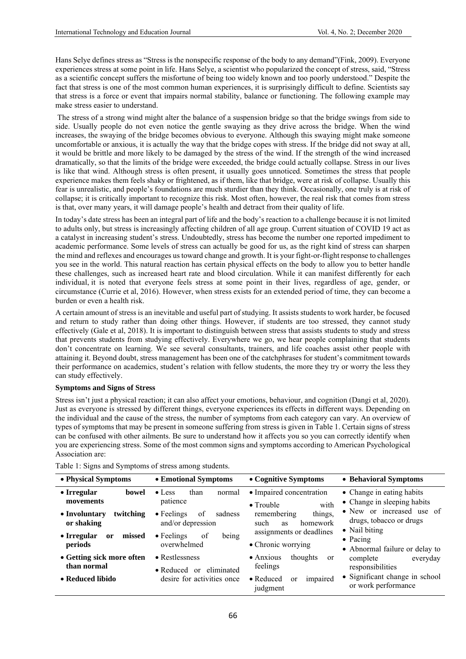Hans Selye defines stress as "Stress is the nonspecific response of the body to any demand"(Fink, 2009). Everyone experiences stress at some point in life. Hans Selye, a scientist who popularized the concept of stress, said, "Stress as a scientific concept suffers the misfortune of being too widely known and too poorly understood." Despite the fact that stress is one of the most common human experiences, it is surprisingly difficult to define. Scientists say that stress is a force or event that impairs normal stability, balance or functioning. The following example may make stress easier to understand.

The stress of a strong wind might alter the balance of a suspension bridge so that the bridge swings from side to side. Usually people do not even notice the gentle swaying as they drive across the bridge. When the wind increases, the swaying of the bridge becomes obvious to everyone. Although this swaying might make someone uncomfortable or anxious, it is actually the way that the bridge copes with stress. If the bridge did not sway at all, it would be brittle and more likely to be damaged by the stress of the wind. If the strength of the wind increased dramatically, so that the limits of the bridge were exceeded, the bridge could actually collapse. Stress in our lives is like that wind. Although stress is often present, it usually goes unnoticed. Sometimes the stress that people experience makes them feels shaky or frightened, as if them, like that bridge, were at risk of collapse. Usually this fear is unrealistic, and people's foundations are much sturdier than they think. Occasionally, one truly is at risk of collapse; it is critically important to recognize this risk. Most often, however, the real risk that comes from stress is that, over many years, it will damage people's health and detract from their quality of life.

In today's date stress has been an integral part of life and the body's reaction to a challenge because it is not limited to adults only, but stress is increasingly affecting children of all age group. Current situation of COVID 19 act as a catalyst in increasing student's stress. Undoubtedly, stress has become the number one reported impediment to academic performance. Some levels of stress can actually be good for us, as the right kind of stress can sharpen the mind and reflexes and encourages us toward change and growth. It is your fight-or-flight response to challenges you see in the world. This natural reaction has certain physical effects on the body to allow you to better handle these challenges, such as increased heart rate and blood circulation. While it can manifest differently for each individual, it is noted that everyone feels stress at some point in their lives, regardless of age, gender, or circumstance (Currie et al, 2016). However, when stress exists for an extended period of time, they can become a burden or even a health risk.

A certain amount of stress is an inevitable and useful part of studying. It assists students to work harder, be focused and return to study rather than doing other things. However, if students are too stressed, they cannot study effectively (Gale et al, 2018). It is important to distinguish between stress that assists students to study and stress that prevents students from studying effectively. Everywhere we go, we hear people complaining that students don't concentrate on learning. We see several consultants, trainers, and life coaches assist other people with attaining it. Beyond doubt, stress management has been one of the catchphrases for student's commitment towards their performance on academics, student's relation with fellow students, the more they try or worry the less they can study effectively.

## **Symptoms and Signs of Stress**

Stress isn't just a physical reaction; it can also affect your emotions, behaviour, and cognition (Dangi et al, 2020). Just as everyone is stressed by different things, everyone experiences its effects in different ways. Depending on the individual and the cause of the stress, the number of symptoms from each category can vary. An overview of types of symptoms that may be present in someone suffering from stress is given in Table 1. Certain signs of stress can be confused with other ailments. Be sure to understand how it affects you so you can correctly identify when you are experiencing stress. Some of the most common signs and symptoms according to American Psychological Association are:

Table 1: Signs and Symptoms of stress among students.

| • Physical Symptoms                               | • Emotional Symptoms                                     | • Cognitive Symptoms                                       | • Behavioral Symptoms                                                                                                                                                                                                                                                                        |
|---------------------------------------------------|----------------------------------------------------------|------------------------------------------------------------|----------------------------------------------------------------------------------------------------------------------------------------------------------------------------------------------------------------------------------------------------------------------------------------------|
| • Irregular<br>bowel<br>movements                 | $\bullet$ Less<br>than<br>normal<br>patience             | • Impaired concentration<br>with<br>$\bullet$ Trouble      | • Change in eating habits<br>• Change in sleeping habits<br>• New or increased use of<br>drugs, tobacco or drugs<br>• Nail biting<br>$\bullet$ Pacing<br>• Abnormal failure or delay to<br>complete<br>everyday<br>responsibilities<br>• Significant change in school<br>or work performance |
| twitching<br>• Involuntary<br>or shaking          | $\bullet$ Feelings<br>of<br>sadness<br>and/or depression | things,<br>remembering<br>homework<br>such<br><b>as</b>    |                                                                                                                                                                                                                                                                                              |
| • Irregular<br>missed<br><sub>or</sub><br>periods | $\bullet$ Feelings<br>being<br>of<br>overwhelmed         | assignments or deadlines<br>• Chronic worrying             |                                                                                                                                                                                                                                                                                              |
| • Getting sick more often<br>than normal          | • Restlessness<br>eliminated<br>$\bullet$ Reduced or     | thoughts<br>$\bullet$ Anxious<br><sub>or</sub><br>feelings |                                                                                                                                                                                                                                                                                              |
| • Reduced libido                                  | desire for activities once                               | impaired<br>$\bullet$ Reduced<br>or<br>judgment            |                                                                                                                                                                                                                                                                                              |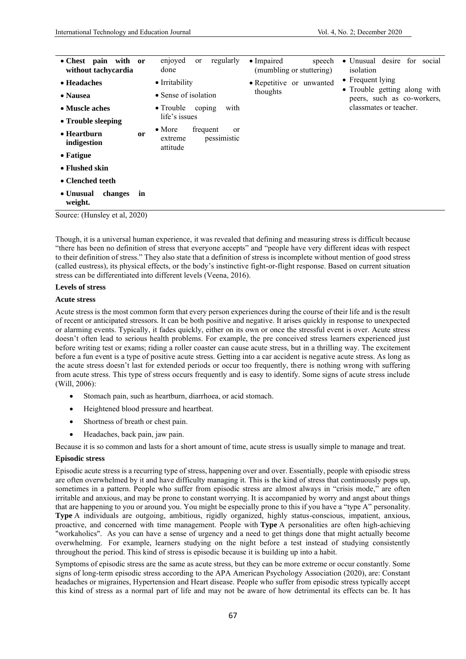| $\bullet$ Chest pain<br>with<br><sub>or</sub><br>without tachycardia | regularly<br>enjoyed<br>or<br>done                                                | • Impaired<br>speech<br>(mumbling or stuttering) | • Unusual desire for social<br>isolation                   |
|----------------------------------------------------------------------|-----------------------------------------------------------------------------------|--------------------------------------------------|------------------------------------------------------------|
| • Headaches                                                          | • Irritability                                                                    | • Repetitive or unwanted                         | • Frequent lying                                           |
| • Nausea                                                             | • Sense of isolation                                                              | thoughts                                         | • Trouble getting along with<br>peers, such as co-workers, |
| • Muscle aches                                                       | • Trouble coping<br>with                                                          |                                                  | classmates or teacher.                                     |
| • Trouble sleeping                                                   | life's issues                                                                     |                                                  |                                                            |
| $\bullet$ Heartburn<br>or<br>indigestion                             | $\bullet$ More<br>frequent<br><sub>or</sub><br>pessimistic<br>extreme<br>attitude |                                                  |                                                            |
| $\bullet$ Fatigue                                                    |                                                                                   |                                                  |                                                            |
| • Flushed skin                                                       |                                                                                   |                                                  |                                                            |
| • Clenched teeth                                                     |                                                                                   |                                                  |                                                            |
| changes<br>• Unusual<br>in<br>weight.                                |                                                                                   |                                                  |                                                            |

Source: (Hunsley et al, 2020)

Though, it is a universal human experience, it was revealed that defining and measuring stress is difficult because "there has been no definition of stress that everyone accepts" and "people have very different ideas with respect to their definition of stress." They also state that a definition of stress is incomplete without mention of good stress (called eustress), its physical effects, or the body's instinctive fight-or-flight response. Based on current situation stress can be differentiated into different levels (Veena, 2016).

#### **Levels of stress**

#### **Acute stress**

Acute stress is the most common form that every person experiences during the course of their life and is the result of recent or anticipated stressors. It can be both positive and negative. It arises quickly in response to unexpected or alarming events. Typically, it fades quickly, either on its own or once the stressful event is over. Acute stress doesn't often lead to serious health problems. For example, the pre conceived stress learners experienced just before writing test or exams; riding a roller coaster can cause acute stress, but in a thrilling way. The excitement before a fun event is a type of positive acute stress. Getting into a car accident is negative acute stress. As long as the acute stress doesn't last for extended periods or occur too frequently, there is nothing wrong with suffering from acute stress. This type of stress occurs frequently and is easy to identify. Some signs of acute stress include (Will, 2006):

- Stomach pain, such as heartburn, diarrhoea, or acid stomach.
- Heightened blood pressure and heartbeat.
- Shortness of breath or chest pain.
- Headaches, back pain, jaw pain.

Because it is so common and lasts for a short amount of time, acute stress is usually simple to manage and treat.

#### **Episodic stress**

Episodic acute stress is a recurring type of stress, happening over and over. Essentially, people with episodic stress are often overwhelmed by it and have difficulty managing it. This is the kind of stress that continuously pops up, sometimes in a pattern. People who suffer from episodic stress are almost always in "crisis mode," are often irritable and anxious, and may be prone to constant worrying. It is accompanied by worry and angst about things that are happening to you or around you. You might be especially prone to this if you have a "type A" personality. **Type** A individuals are outgoing, ambitious, rigidly organized, highly status-conscious, impatient, anxious, proactive, and concerned with time management. People with **Type** A personalities are often high-achieving "workaholics". As you can have a sense of urgency and a need to get things done that might actually become overwhelming. For example, learners studying on the night before a test instead of studying consistently throughout the period. This kind of stress is episodic because it is building up into a habit.

Symptoms of episodic stress are the same as acute stress, but they can be more extreme or occur constantly. Some signs of long-term episodic stress according to the APA American Psychology Association (2020), are: Constant headaches or migraines, Hypertension and Heart disease. People who suffer from episodic stress typically accept this kind of stress as a normal part of life and may not be aware of how detrimental its effects can be. It has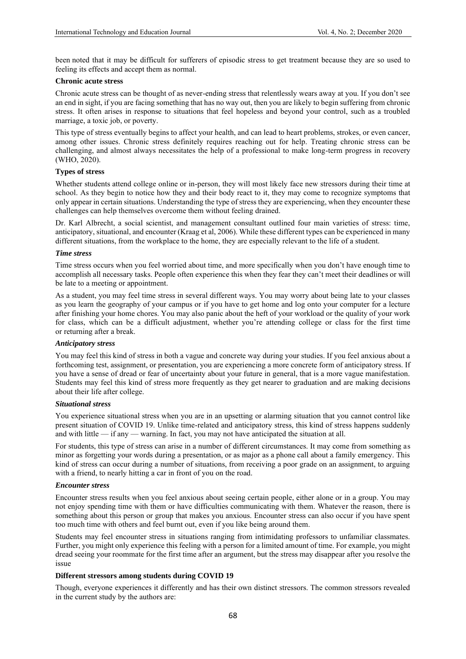been noted that it may be difficult for sufferers of episodic stress to get treatment because they are so used to feeling its effects and accept them as normal.

# **Chronic acute stress**

Chronic acute stress can be thought of as never-ending stress that relentlessly wears away at you. If you don't see an end in sight, if you are facing something that has no way out, then you are likely to begin suffering from chronic stress. It often arises in response to situations that feel hopeless and beyond your control, such as a troubled marriage, a toxic job, or poverty.

This type of stress eventually begins to affect your health, and can lead to heart problems, strokes, or even cancer, among other issues. Chronic stress definitely requires reaching out for help. Treating chronic stress can be challenging, and almost always necessitates the help of a professional to make long-term progress in recovery (WHO, 2020).

#### **Types of stress**

Whether students attend college online or in-person, they will most likely face new stressors during their time at school. As they begin to notice how they and their body react to it, they may come to recognize symptoms that only appear in certain situations. Understanding the type of stress they are experiencing, when they encounter these challenges can help themselves overcome them without feeling drained.

Dr. Karl Albrecht, a social scientist, and management consultant outlined four main varieties of stress: time, anticipatory, situational, and encounter (Kraag et al, 2006). While these different types can be experienced in many different situations, from the workplace to the home, they are especially relevant to the life of a student.

#### *Time stress*

Time stress occurs when you feel worried about time, and more specifically when you don't have enough time to accomplish all necessary tasks. People often experience this when they fear they can't meet their deadlines or will be late to a meeting or appointment.

As a student, you may feel time stress in several different ways. You may worry about being late to your classes as you learn the geography of your campus or if you have to get home and log onto your computer for a lecture after finishing your home chores. You may also panic about the heft of your workload or the quality of your work for class, which can be a difficult adjustment, whether you're attending college or class for the first time or returning after a break.

## *Anticipatory stress*

You may feel this kind of stress in both a vague and concrete way during your studies. If you feel anxious about a forthcoming test, assignment, or presentation, you are experiencing a more concrete form of anticipatory stress. If you have a sense of dread or fear of uncertainty about your future in general, that is a more vague manifestation. Students may feel this kind of stress more frequently as they get nearer to graduation and are making decisions about their life after college.

#### *Situational stress*

You experience situational stress when you are in an upsetting or alarming situation that you cannot control like present situation of COVID 19. Unlike time-related and anticipatory stress, this kind of stress happens suddenly and with little — if any — warning. In fact, you may not have anticipated the situation at all.

For students, this type of stress can arise in a number of different circumstances. It may come from something as minor as forgetting your words during a presentation, or as major as a phone call about a family emergency. This kind of stress can occur during a number of situations, from receiving a poor grade on an assignment, to arguing with a friend, to nearly hitting a car in front of you on the road.

## *Encounter stress*

Encounter stress results when you feel anxious about seeing certain people, either alone or in a group. You may not enjoy spending time with them or have difficulties communicating with them. Whatever the reason, there is something about this person or group that makes you anxious. Encounter stress can also occur if you have spent too much time with others and feel burnt out, even if you like being around them.

Students may feel encounter stress in situations ranging from intimidating professors to unfamiliar classmates. Further, you might only experience this feeling with a person for a limited amount of time. For example, you might dread seeing your roommate for the first time after an argument, but the stress may disappear after you resolve the issue

## **Different stressors among students during COVID 19**

Though, everyone experiences it differently and has their own distinct stressors. The common stressors revealed in the current study by the authors are: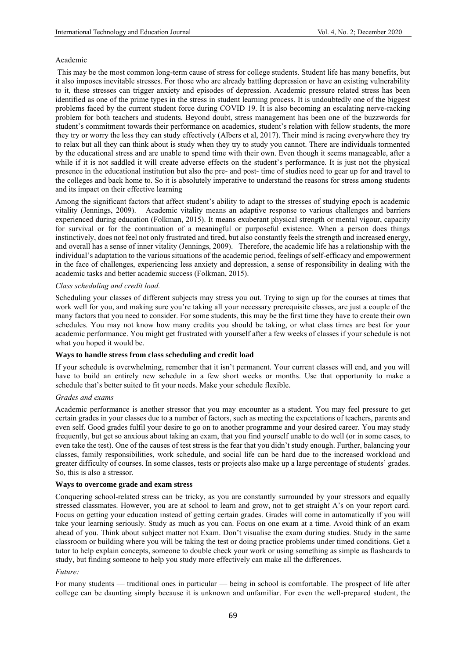## Academic

This may be the most common long-term cause of stress for college students. Student life has many benefits, but it also imposes inevitable stresses. For those who are already battling depression or have an existing vulnerability to it, these stresses can trigger anxiety and episodes of depression. Academic pressure related stress has been identified as one of the prime types in the stress in student learning process. It is undoubtedly one of the biggest problems faced by the current student force during COVID 19. It is also becoming an escalating nerve-racking problem for both teachers and students. Beyond doubt, stress management has been one of the buzzwords for student's commitment towards their performance on academics, student's relation with fellow students, the more they try or worry the less they can study effectively (Albers et al, 2017). Their mind is racing everywhere they try to relax but all they can think about is study when they try to study you cannot. There are individuals tormented by the educational stress and are unable to spend time with their own. Even though it seems manageable, after a while if it is not saddled it will create adverse effects on the student's performance. It is just not the physical presence in the educational institution but also the pre- and post- time of studies need to gear up for and travel to the colleges and back home to. So it is absolutely imperative to understand the reasons for stress among students and its impact on their effective learning

Among the significant factors that affect student's ability to adapt to the stresses of studying epoch is academic vitality (Jennings, 2009). Academic vitality means an adaptive response to various challenges and barriers experienced during education (Folkman, 2015). It means exuberant physical strength or mental vigour, capacity for survival or for the continuation of a meaningful or purposeful existence. When a person does things instinctively, does not feel not only frustrated and tired, but also constantly feels the strength and increased energy, and overall has a sense of inner vitality (Jennings, 2009). Therefore, the academic life has a relationship with the individual's adaptation to the various situations of the academic period, feelings of self-efficacy and empowerment in the face of challenges, experiencing less anxiety and depression, a sense of responsibility in dealing with the academic tasks and better academic success (Folkman, 2015).

#### *Class scheduling and credit load.*

Scheduling your classes of different subjects may stress you out. Trying to sign up for the courses at times that work well for you, and making sure you're taking all your necessary prerequisite classes, are just a couple of the many factors that you need to consider. For some students, this may be the first time they have to create their own schedules. You may not know how many credits you should be taking, or what class times are best for your academic performance. You might get frustrated with yourself after a few weeks of classes if your schedule is not what you hoped it would be.

## **Ways to handle stress from class scheduling and credit load**

If your schedule is overwhelming, remember that it isn't permanent. Your current classes will end, and you will have to build an entirely new schedule in a few short weeks or months. Use that opportunity to make a schedule that's better suited to fit your needs. Make your schedule flexible.

#### *Grades and exams*

Academic performance is another stressor that you may encounter as a student. You may feel pressure to get certain grades in your classes due to a number of factors, such as meeting the expectations of teachers, parents and even self. Good grades fulfil your desire to go on to another programme and your desired career. You may study frequently, but get so anxious about taking an exam, that you find yourself unable to do well (or in some cases, to even take the test). One of the causes of test stress is the fear that you didn't study enough. Further, balancing your classes, family responsibilities, work schedule, and social life can be hard due to the increased workload and greater difficulty of courses. In some classes, tests or projects also make up a large percentage of students' grades. So, this is also a stressor.

#### **Ways to overcome grade and exam stress**

Conquering school-related stress can be tricky, as you are constantly surrounded by your stressors and equally stressed classmates. However, you are at school to learn and grow, not to get straight A's on your report card. Focus on getting your education instead of getting certain grades. Grades will come in automatically if you will take your learning seriously. Study as much as you can. Focus on one exam at a time. Avoid think of an exam ahead of you. Think about subject matter not Exam. Don't visualise the exam during studies. Study in the same classroom or building where you will be taking the test or doing practice problems under timed conditions. Get a tutor to help explain concepts, someone to double check your work or using something as simple as flashcards to study, but finding someone to help you study more effectively can make all the differences.

## *Future:*

For many students — traditional ones in particular — being in school is comfortable. The prospect of life after college can be daunting simply because it is unknown and unfamiliar. For even the well-prepared student, the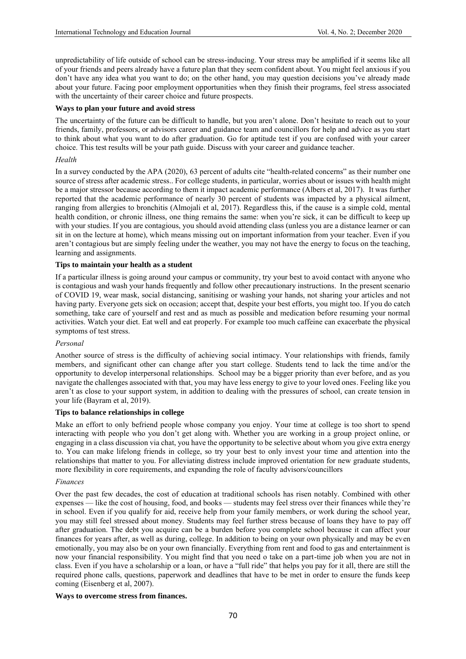unpredictability of life outside of school can be stress-inducing. Your stress may be amplified if it seems like all of your friends and peers already have a future plan that they seem confident about. You might feel anxious if you don't have any idea what you want to do; on the other hand, you may question decisions you've already made about your future. Facing poor employment opportunities when they finish their programs, feel stress associated with the uncertainty of their career choice and future prospects.

## **Ways to plan your future and avoid stress**

The uncertainty of the future can be difficult to handle, but you aren't alone. Don't hesitate to reach out to your friends, family, professors, or advisors career and guidance team and councillors for help and advice as you start to think about what you want to do after graduation. Go for aptitude test if you are confused with your career choice. This test results will be your path guide. Discuss with your career and guidance teacher.

## *Health*

In a survey conducted by the APA (2020), 63 percent of adults cite "health-related concerns" as their number one source of stress after academic stress.. For college students, in particular, worries about or issues with health might be a major stressor because according to them it impact academic performance (Albers et al, 2017). It was further reported that the academic performance of nearly 30 percent of students was impacted by a physical ailment, ranging from allergies to bronchitis (Almojali et al, 2017). Regardless this, if the cause is a simple cold, mental health condition, or chronic illness, one thing remains the same: when you're sick, it can be difficult to keep up with your studies. If you are contagious, you should avoid attending class (unless you are a distance learner or can sit in on the lecture at home), which means missing out on important information from your teacher. Even if you aren't contagious but are simply feeling under the weather, you may not have the energy to focus on the teaching, learning and assignments.

# **Tips to maintain your health as a student**

If a particular illness is going around your campus or community, try your best to avoid contact with anyone who is contagious and wash your hands frequently and follow other precautionary instructions. In the present scenario of COVID 19, wear mask, social distancing, sanitising or washing your hands, not sharing your articles and not having party. Everyone gets sick on occasion; accept that, despite your best efforts, you might too. If you do catch something, take care of yourself and rest and as much as possible and medication before resuming your normal activities. Watch your diet. Eat well and eat properly. For example too much caffeine can exacerbate the physical symptoms of test stress.

## *Personal*

Another source of stress is the difficulty of achieving social intimacy. Your relationships with friends, family members, and significant other can change after you start college. Students tend to lack the time and/or the opportunity to develop interpersonal relationships. School may be a bigger priority than ever before, and as you navigate the challenges associated with that, you may have less energy to give to your loved ones. Feeling like you aren't as close to your support system, in addition to dealing with the pressures of school, can create tension in your life (Bayram et al, 2019).

## **Tips to balance relationships in college**

Make an effort to only befriend people whose company you enjoy. Your time at college is too short to spend interacting with people who you don't get along with. Whether you are working in a group project online, or engaging in a class discussion via chat, you have the opportunity to be selective about whom you give extra energy to. You can make lifelong friends in college, so try your best to only invest your time and attention into the relationships that matter to you. For alleviating distress include improved orientation for new graduate students, more flexibility in core requirements, and expanding the role of faculty advisors/councillors

## *Finances*

Over the past few decades, the cost of education at traditional schools has risen notably. Combined with other expenses — like the cost of housing, food, and books — students may feel stress over their finances while they're in school. Even if you qualify for aid, receive help from your family members, or work during the school year, you may still feel stressed about money. Students may feel further stress because of loans they have to pay off after graduation. The debt you acquire can be a burden before you complete school because it can affect your finances for years after, as well as during, college. In addition to being on your own physically and may be even emotionally, you may also be on your own financially. Everything from rent and food to gas and entertainment is now your financial responsibility. You might find that you need o take on a part-time job when you are not in class. Even if you have a scholarship or a loan, or have a "full ride" that helps you pay for it all, there are still the required phone calls, questions, paperwork and deadlines that have to be met in order to ensure the funds keep coming (Eisenberg et al, 2007).

## **Ways to overcome stress from finances.**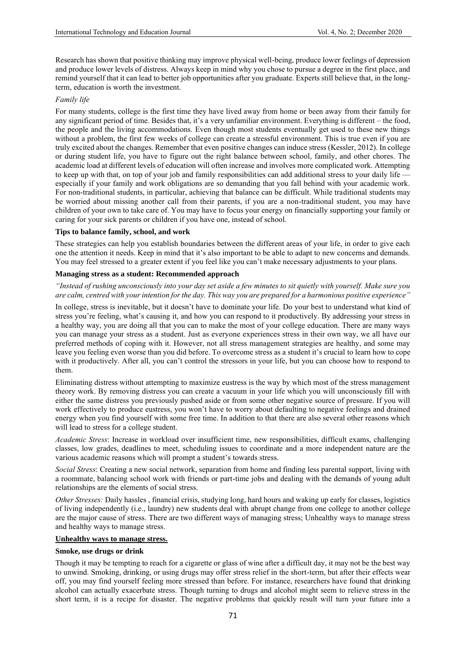Research has shown that positive thinking may improve physical well-being, produce lower feelings of depression and produce lower levels of distress. Always keep in mind why you chose to pursue a degree in the first place, and remind yourself that it can lead to better job opportunities after you graduate. Experts still believe that, in the longterm, education is worth the investment.

# *Family life*

For many students, college is the first time they have lived away from home or been away from their family for any significant period of time. Besides that, it's a very unfamiliar environment. Everything is different – the food, the people and the living accommodations. Even though most students eventually get used to these new things without a problem, the first few weeks of college can create a stressful environment. This is true even if you are truly excited about the changes. Remember that even positive changes can induce stress (Kessler, 2012). In college or during student life, you have to figure out the right balance between school, family, and other chores. The academic load at different levels of education will often increase and involves more complicated work. Attempting to keep up with that, on top of your job and family responsibilities can add additional stress to your daily life especially if your family and work obligations are so demanding that you fall behind with your academic work. For non-traditional students, in particular, achieving that balance can be difficult. While traditional students may be worried about missing another call from their parents, if you are a non-traditional student, you may have children of your own to take care of. You may have to focus your energy on financially supporting your family or caring for your sick parents or children if you have one, instead of school.

## **Tips to balance family, school, and work**

These strategies can help you establish boundaries between the different areas of your life, in order to give each one the attention it needs. Keep in mind that it's also important to be able to adapt to new concerns and demands. You may feel stressed to a greater extent if you feel like you can't make necessary adjustments to your plans.

## **Managing stress as a student: Recommended approach**

# *"Instead of rushing unconsciously into your day set aside a few minutes to sit quietly with yourself. Make sure you are calm, centred with your intention for the day. This way you are prepared for a harmonious positive experience"*

In college, stress is inevitable, but it doesn't have to dominate your life. Do your best to understand what kind of stress you're feeling, what's causing it, and how you can respond to it productively. By addressing your stress in a healthy way, you are doing all that you can to make the most of your college education. There are many ways you can manage your stress as a student. Just as everyone experiences stress in their own way, we all have our preferred methods of coping with it. However, not all stress management strategies are healthy, and some may leave you feeling even worse than you did before. To overcome stress as a student it's crucial to learn how to cope with it productively. After all, you can't control the stressors in your life, but you can choose how to respond to them.

Eliminating distress without attempting to maximize eustress is the way by which most of the stress management theory work. By removing distress you can create a vacuum in your life which you will unconsciously fill with either the same distress you previously pushed aside or from some other negative source of pressure. If you will work effectively to produce eustress, you won't have to worry about defaulting to negative feelings and drained energy when you find yourself with some free time. In addition to that there are also several other reasons which will lead to stress for a college student.

*Academic Stress*: Increase in workload over insufficient time, new responsibilities, difficult exams, challenging classes, low grades, deadlines to meet, scheduling issues to coordinate and a more independent nature are the various academic reasons which will prompt a student's towards stress.

*Social Stress*: Creating a new social network, separation from home and finding less parental support, living with a roommate, balancing school work with friends or part-time jobs and dealing with the demands of young adult relationships are the elements of social stress.

*Other Stresses:* Daily hassles , financial crisis, studying long, hard hours and waking up early for classes, logistics of living independently (i.e., laundry) new students deal with abrupt change from one college to another college are the major cause of stress. There are two different ways of managing stress; Unhealthy ways to manage stress and healthy ways to manage stress.

## **Unhealthy ways to manage stress.**

## **Smoke, use drugs or drink**

Though it may be tempting to reach for a cigarette or glass of wine after a difficult day, it may not be the best way to unwind. Smoking, drinking, or using drugs may offer stress relief in the short-term, but after their effects wear off, you may find yourself feeling more stressed than before. For instance, researchers have found that drinking alcohol can actually exacerbate stress. Though turning to drugs and alcohol might seem to relieve stress in the short term, it is a recipe for disaster. The negative problems that quickly result will turn your future into a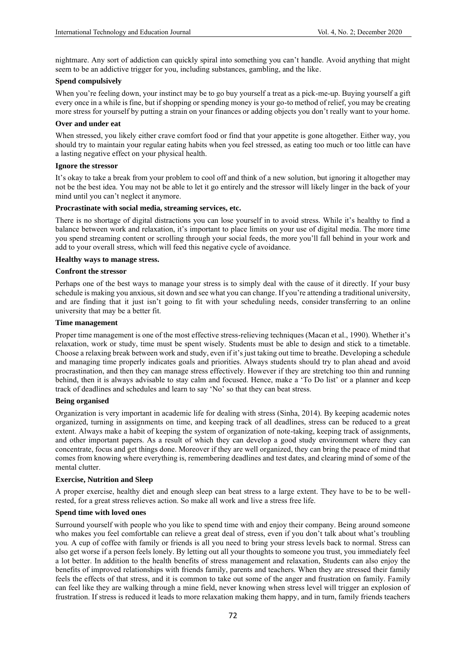nightmare. Any sort of addiction can quickly spiral into something you can't handle. Avoid anything that might seem to be an addictive trigger for you, including substances, gambling, and the like.

# **Spend compulsively**

When you're feeling down, your instinct may be to go buy yourself a treat as a pick-me-up. Buying yourself a gift every once in a while is fine, but if shopping or spending money is your go-to method of relief, you may be creating more stress for yourself by putting a strain on your finances or adding objects you don't really want to your home.

# **Over and under eat**

When stressed, you likely either crave comfort food or find that your appetite is gone altogether. Either way, you should try to maintain your regular eating habits when you feel stressed, as eating too much or too little can have a lasting negative effect on your physical health.

#### **Ignore the stressor**

It's okay to take a break from your problem to cool off and think of a new solution, but ignoring it altogether may not be the best idea. You may not be able to let it go entirely and the stressor will likely linger in the back of your mind until you can't neglect it anymore.

#### **Procrastinate with social media, streaming services, etc.**

There is no shortage of digital distractions you can lose yourself in to avoid stress. While it's healthy to find a balance between work and relaxation, it's important to place limits on your use of digital media. The more time you spend streaming content or scrolling through your social feeds, the more you'll fall behind in your work and add to your overall stress, which will feed this negative cycle of avoidance.

#### **Healthy ways to manage stress.**

#### **Confront the stressor**

Perhaps one of the best ways to manage your stress is to simply deal with the cause of it directly. If your busy schedule is making you anxious, sit down and see what you can change. If you're attending a traditional university, and are finding that it just isn't going to fit with your scheduling needs, consider transferring to an online university that may be a better fit.

## **Time management**

Proper time management is one of the most effective stress-relieving techniques (Macan et al., 1990). Whether it's relaxation, work or study, time must be spent wisely. Students must be able to design and stick to a timetable. Choose a relaxing break between work and study, even if it's just taking out time to breathe. Developing a schedule and managing time properly indicates goals and priorities. Always students should try to plan ahead and avoid procrastination, and then they can manage stress effectively. However if they are stretching too thin and running behind, then it is always advisable to stay calm and focused. Hence, make a 'To Do list' or a planner and keep track of deadlines and schedules and learn to say 'No' so that they can beat stress.

#### **Being organised**

Organization is very important in academic life for dealing with stress (Sinha, 2014). By keeping academic notes organized, turning in assignments on time, and keeping track of all deadlines, stress can be reduced to a great extent. Always make a habit of keeping the system of organization of note-taking, keeping track of assignments, and other important papers. As a result of which they can develop a good study environment where they can concentrate, focus and get things done. Moreover if they are well organized, they can bring the peace of mind that comes from knowing where everything is, remembering deadlines and test dates, and clearing mind of some of the mental clutter.

## **Exercise, Nutrition and Sleep**

A proper exercise, healthy diet and enough sleep can beat stress to a large extent. They have to be to be wellrested, for a great stress relieves action. So make all work and live a stress free life.

## **Spend time with loved ones**

Surround yourself with people who you like to spend time with and enjoy their company. Being around someone who makes you feel comfortable can relieve a great deal of stress, even if you don't talk about what's troubling you*.* A cup of coffee with family or friends is all you need to bring your stress levels back to normal. Stress can also get worse if a person feels lonely. By letting out all your thoughts to someone you trust, you immediately feel a lot better. In addition to the health benefits of stress management and relaxation, Students can also enjoy the benefits of improved relationships with friends family, parents and teachers. When they are stressed their family feels the effects of that stress, and it is common to take out some of the anger and frustration on family. Family can feel like they are walking through a mine field, never knowing when stress level will trigger an explosion of frustration. If stress is reduced it leads to more relaxation making them happy, and in turn, family friends teachers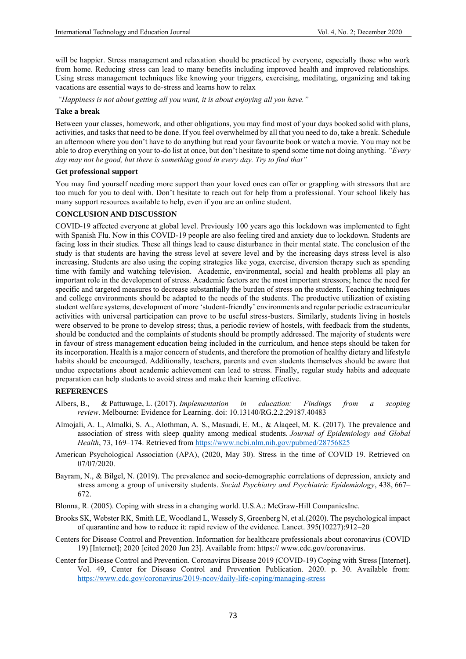will be happier. Stress management and relaxation should be practiced by everyone, especially those who work from home. Reducing stress can lead to many benefits including improved health and improved relationships. Using stress management techniques like knowing your triggers, exercising, meditating, organizing and taking vacations are essential ways to de-stress and learns how to relax

*"Happiness is not about getting all you want, it is about enjoying all you have."*

#### **Take a break**

Between your classes, homework, and other obligations, you may find most of your days booked solid with plans, activities, and tasks that need to be done. If you feel overwhelmed by all that you need to do, take a break. Schedule an afternoon where you don't have to do anything but read your favourite book or watch a movie. You may not be able to drop everything on your to-do list at once, but don't hesitate to spend some time not doing anything. *"Every day may not be good, but there is something good in every day. Try to find that"*

#### **Get professional support**

You may find yourself needing more support than your loved ones can offer or grappling with stressors that are too much for you to deal with. Don't hesitate to reach out for help from a professional. Your school likely has many support resources available to help, even if you are an online student.

#### **CONCLUSION AND DISCUSSION**

COVID-19 affected everyone at global level. Previously 100 years ago this lockdown was implemented to fight with Spanish Flu. Now in this COVID-19 people are also feeling tired and anxiety due to lockdown. Students are facing loss in their studies. These all things lead to cause disturbance in their mental state. The conclusion of the study is that students are having the stress level at severe level and by the increasing days stress level is also increasing. Students are also using the coping strategies like yoga, exercise, diversion therapy such as spending time with family and watching television. Academic, environmental, social and health problems all play an important role in the development of stress. Academic factors are the most important stressors; hence the need for specific and targeted measures to decrease substantially the burden of stress on the students. Teaching techniques and college environments should be adapted to the needs of the students. The productive utilization of existing student welfare systems, development of more 'student-friendly' environments and regular periodic extracurricular activities with universal participation can prove to be useful stress-busters. Similarly, students living in hostels were observed to be prone to develop stress; thus, a periodic review of hostels, with feedback from the students, should be conducted and the complaints of students should be promptly addressed. The majority of students were in favour of stress management education being included in the curriculum, and hence steps should be taken for its incorporation. Health is a major concern of students, and therefore the promotion of healthy dietary and lifestyle habits should be encouraged. Additionally, teachers, parents and even students themselves should be aware that undue expectations about academic achievement can lead to stress. Finally, regular study habits and adequate preparation can help students to avoid stress and make their learning effective.

## **REFERENCES**

- Albers, B., & Pattuwage, L. (2017). *Implementation in education: Findings from a scoping review*. Melbourne: Evidence for Learning. doi: 10.13140/RG.2.2.29187.40483
- Almojali, A. I., Almalki, S. A., Alothman, A. S., Masuadi, E. M., & Alaqeel, M. K. (2017). The prevalence and association of stress with sleep quality among medical students. *Journal of Epidemiology and Global Health*, 73, 169–174. Retrieved from <https://www.ncbi.nlm.nih.gov/pubmed/28756825>
- American Psychological Association (APA), (2020, May 30). Stress in the time of COVID 19. Retrieved on 07/07/2020.
- Bayram, N., & Bilgel, N. (2019). The prevalence and socio-demographic correlations of depression, anxiety and stress among a group of university students. *Social Psychiatry and Psychiatric Epidemiology*, 438, 667– 672.
- Blonna, R. (2005). Coping with stress in a changing world. U.S.A.: McGraw-Hill CompaniesInc.
- Brooks SK, Webster RK, Smith LE, Woodland L, Wessely S, Greenberg N, et al.(2020). The psychological impact of quarantine and how to reduce it: rapid review of the evidence. Lancet. 395(10227):912–20
- Centers for Disease Control and Prevention. Information for healthcare professionals about coronavirus (COVID 19) [Internet]; 2020 [cited 2020 Jun 23]. Available from: https:// www.cdc.gov/coronavirus.
- Center for Disease Control and Prevention. Coronavirus Disease 2019 (COVID-19) Coping with Stress [Internet]. Vol. 49, Center for Disease Control and Prevention Publication. 2020. p. 30. Available from: <https://www.cdc.gov/coronavirus/2019-ncov/daily-life-coping/managing-stress>